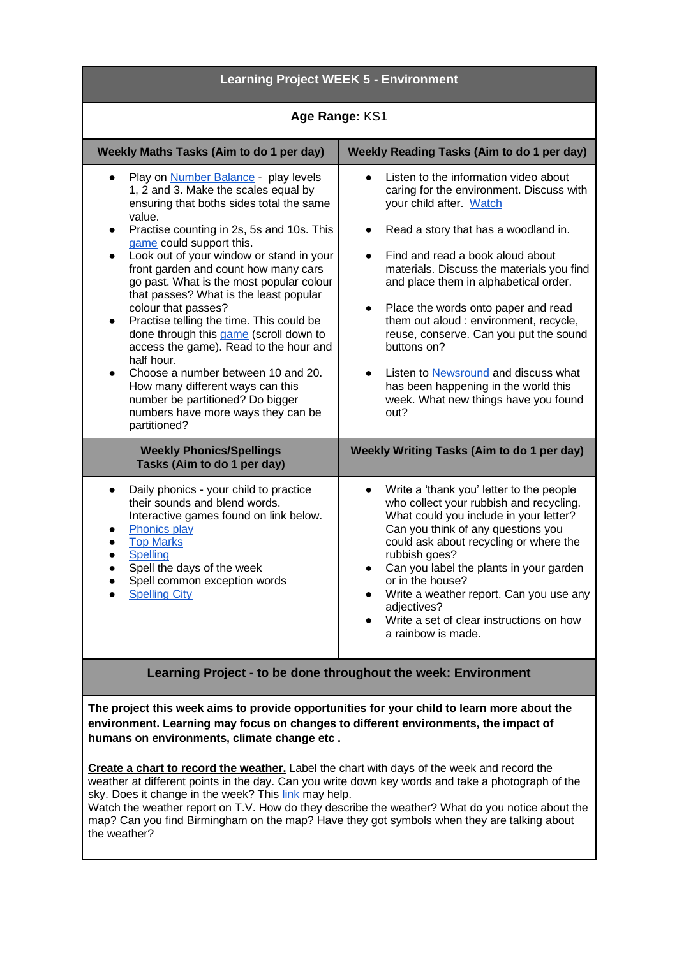| <b>Learning Project WEEK 5 - Environment</b>                                                                                                                                                                                                                                                                                                                                                                                                                                                                                                                                                                                                                                                                                                                                 |                                                                                                                                                                                                                                                                                                                                                                                                                                                                                                                                                                                                              |
|------------------------------------------------------------------------------------------------------------------------------------------------------------------------------------------------------------------------------------------------------------------------------------------------------------------------------------------------------------------------------------------------------------------------------------------------------------------------------------------------------------------------------------------------------------------------------------------------------------------------------------------------------------------------------------------------------------------------------------------------------------------------------|--------------------------------------------------------------------------------------------------------------------------------------------------------------------------------------------------------------------------------------------------------------------------------------------------------------------------------------------------------------------------------------------------------------------------------------------------------------------------------------------------------------------------------------------------------------------------------------------------------------|
| Age Range: KS1                                                                                                                                                                                                                                                                                                                                                                                                                                                                                                                                                                                                                                                                                                                                                               |                                                                                                                                                                                                                                                                                                                                                                                                                                                                                                                                                                                                              |
| Weekly Maths Tasks (Aim to do 1 per day)                                                                                                                                                                                                                                                                                                                                                                                                                                                                                                                                                                                                                                                                                                                                     | <b>Weekly Reading Tasks (Aim to do 1 per day)</b>                                                                                                                                                                                                                                                                                                                                                                                                                                                                                                                                                            |
| Play on <b>Number Balance</b> - play levels<br>1, 2 and 3. Make the scales equal by<br>ensuring that boths sides total the same<br>value.<br>Practise counting in 2s, 5s and 10s. This<br>$\bullet$<br>game could support this.<br>Look out of your window or stand in your<br>$\bullet$<br>front garden and count how many cars<br>go past. What is the most popular colour<br>that passes? What is the least popular<br>colour that passes?<br>Practise telling the time. This could be<br>done through this game (scroll down to<br>access the game). Read to the hour and<br>half hour.<br>Choose a number between 10 and 20.<br>$\bullet$<br>How many different ways can this<br>number be partitioned? Do bigger<br>numbers have more ways they can be<br>partitioned? | Listen to the information video about<br>caring for the environment. Discuss with<br>your child after. Watch<br>Read a story that has a woodland in.<br>$\bullet$<br>Find and read a book aloud about<br>$\bullet$<br>materials. Discuss the materials you find<br>and place them in alphabetical order.<br>Place the words onto paper and read<br>$\bullet$<br>them out aloud : environment, recycle,<br>reuse, conserve. Can you put the sound<br>buttons on?<br>Listen to Newsround and discuss what<br>$\bullet$<br>has been happening in the world this<br>week. What new things have you found<br>out? |
| <b>Weekly Phonics/Spellings</b><br>Tasks (Aim to do 1 per day)                                                                                                                                                                                                                                                                                                                                                                                                                                                                                                                                                                                                                                                                                                               | <b>Weekly Writing Tasks (Aim to do 1 per day)</b>                                                                                                                                                                                                                                                                                                                                                                                                                                                                                                                                                            |
| Daily phonics - your child to practice<br>their sounds and blend words.<br>Interactive games found on link below.<br>Phonics play<br><b>Top Marks</b><br>Spelling<br>Spell the days of the week<br>Spell common exception words<br><b>Spelling City</b>                                                                                                                                                                                                                                                                                                                                                                                                                                                                                                                      | Write a 'thank you' letter to the people<br>who collect your rubbish and recycling.<br>What could you include in your letter?<br>Can you think of any questions you<br>could ask about recycling or where the<br>rubbish goes?<br>Can you label the plants in your garden<br>or in the house?<br>Write a weather report. Can you use any<br>adjectives?<br>Write a set of clear instructions on how<br>a rainbow is made.                                                                                                                                                                                    |

## **Learning Project - to be done throughout the week: Environment**

**The project this week aims to provide opportunities for your child to learn more about the environment. Learning may focus on changes to different environments, the impact of humans on environments, climate change etc .**

**Create a chart to record the weather.** Label the chart with days of the week and record the weather at different points in the day. Can you write down key words and take a photograph of the sky. Does it change in the week? This [link](https://www.topmarks.co.uk/Interactive.aspx?cat=93) may help.

Watch the weather report on T.V. How do they describe the weather? What do you notice about the map? Can you find Birmingham on the map? Have they got symbols when they are talking about the weather?